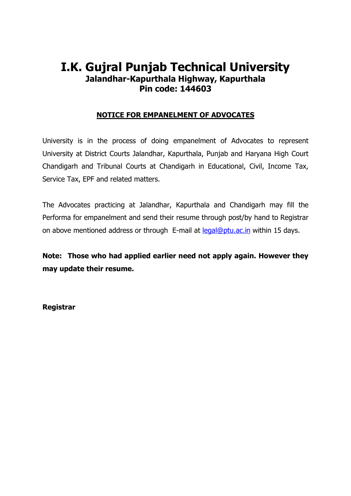# I.K. Gujral Punjab Technical University Jalandhar-Kapurthala Highway, Kapurthala Pin code: 144603

### NOTICE FOR EMPANELMENT OF ADVOCATES

University is in the process of doing empanelment of Advocates to represent University at District Courts Jalandhar, Kapurthala, Punjab and Haryana High Court Chandigarh and Tribunal Courts at Chandigarh in Educational, Civil, Income Tax, Service Tax, EPF and related matters.

The Advocates practicing at Jalandhar, Kapurthala and Chandigarh may fill the Performa for empanelment and send their resume through post/by hand to Registrar on above mentioned address or through E-mail at legal@ptu.ac.in within 15 days.

Note: Those who had applied earlier need not apply again. However they may update their resume.

Registrar